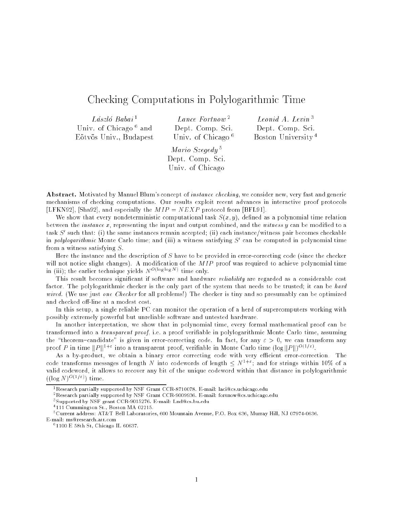# Checking Computations in Polylogarithmic Time

 $László Babai<sup>1</sup>$ Umiv. Of Unicago and Eotvos Univ., Budapest

Lance Fortnow <sup>2</sup> Dept. Comp. Sci. Univ. of Chicago <sup>6</sup>

Leonid A. Levin <sup>3</sup> Dept. Comp. Sci. Boston University <sup>4</sup>

Mario Szegedy <sup>5</sup> Dept. Comp. Sci. Univ. of Chicago

Abstract. Motivated by Manuel Blum's concept of instance checking, we consider new, very fast and generic mechanisms of checking computations. Our results exploit recent advances in interactive proof protocols [LFKN92], [Sha92], and especially the  $MIP = NEXP$  protocol from [BFL91].

We show that every nondeterministic computational task  $S(x, y)$ , defined as a polynomial time relation between the *instance*  $x$ , representing the input and output combined, and the *witness*  $y$  can be modified to a task S-such that: (i) the same instances remain accepted; (ii) each instance/witness pair becomes checkable in *polylogarithmic* monte Carlo time; and (iii) a witness satisfying  $S$  can be computed in polynomial time from a witness satisfying  $S$ .

Here the instance and the description of S have to be provided in error-correcting code (since the checker will not notice slight changes). A modification of the  $MIP$  proof was required to achieve polynomial time in (iii); the earlier technique yields  $N^{O(\log \log N)}$  time only.

This result becomes significant if software and hardware reliability are regarded as a considerable cost factor. The polylogarithmic checker is the only part of the system that needs to be trusted; it can be hard wired. (We use just one Checker for all problems!) The checker is tiny and so presumably can be optimized and checked off-line at a modest cost.

In this setup, a single reliable PC can monitor the operation of a herd of supercomputers working with possibly extremely powerful but unreliable software and untested hardware.

In another interpretation, we show that in polynomial time, every formal mathematical proof can be transformed into a *transparent proof*, i.e. a proof verifiable in polylogarithmic Monte Carlo time, assuming the "theorem-candidate" is given in error-correcting code. In fact, for any  $\varepsilon > 0$ , we can transform any proof P in time  $||P||^{1+\epsilon}$  into a transparent proof, verifiable in Monte Carlo time  $(\log ||P||)^{O(1/\epsilon)}$ .

As a by-product, we obtain a binary error correcting code with very efficient error-correction. The code transforms messages of length N into codewords of length  $\leq N^{1+\varepsilon}$ ; and for strings within 10% of a valid codeword, it allows to recover any bit of the unique codeword within that distance in polylogarithmic  $((\log N)^{O(1/\varepsilon)})$  time.

 $^{1}$ Research partially supported by NSF Grant CCR-8710078. E-mail: laci@cs.uchicago.edu

<sup>2</sup>Research partially supported by NSF Grant CCR-9009936. E-mail: fortnow@cs.uchicago.edu

<sup>3</sup> Supported by NSF grant CCR-9015276. E-mail: Lnd@cs.bu.edu

<sup>4</sup> 111 Cummington St., Boston MA 02215.

<sup>5</sup>Current address: AT&T Bell Laboratories, 600 Mountain Avenue, P.O. Box 636, Murray Hill, NJ 07974-0636. E-mail: ms@research.att.com

<sup>6</sup> 1100 E 58th St, Chicago IL 60637.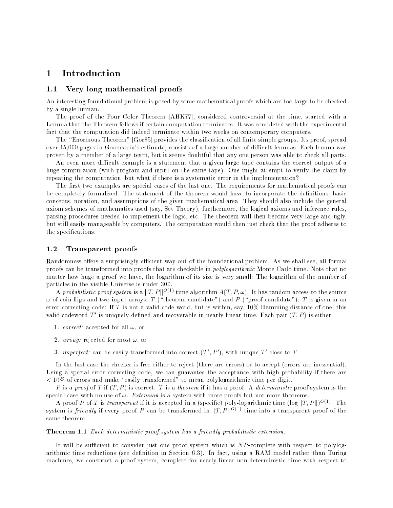### **Introduction**  $\mathbf 1$

#### $1.1$ Very long mathematical proofs

An interesting foundational problem is posed by some mathematical proofs which are too large to be checked by a single human.

The proof of the Four Color Theorem [AHK77], considered controversial at the time, started with a Lemma that the Theorem follows if certain computation terminates. It was completed with the experimental fact that the computation did indeed terminate within two weeks on contemporary computers.

The "Enormous Theorem" [Gor85] provides the classification of all finite simple groups. Its proof, spread over 15,000 pages in Gorenstein's estimate, consists of a large number of difficult lemmas. Each lemma was proven by a member of a large team, but it seems doubtful that any one person was able to check all parts.

An even more difficult example is a statement that a given large tape contains the correct output of a huge computation (with program and input on the same tape). One might attempt to verify the claim by repeating the computation, but what if there is a systematic error in the implementation?

The first two examples are special cases of the last one. The requirements for mathematical proofs can be completely formalized. The statement of the theorem would have to incorporate the definitions, basic concepts, notation, and assumptions of the given mathematical area. They should also include the general axiom schemes of mathematics used (say, Set Theory), furthermore, the logical axioms and inference rules, parsing procedures needed to implement the logic, etc. The theorem will then become very large and ugly, but still easily manageable by computers. The computation would then just check that the proof adheres to the specifications.

### 1.2 Transparent proofs

Randomness offers a surprisingly efficient way out of the foundational problem. As we shall see, all formal proofs can be transformed into proofs that are checkable in polylogarithmic Monte Carlo time. Note that no matter how huge a proof we have, the logarithm of its size is very small: The logarithm of the number of particles in the visible Universe is under 300.

A probabilistic proof system is a  $||T, P||^{O(1)}$  time algorithm  $A(T, P, \omega)$ . It has random access to the source  $\omega$  of coin flips and two input arrays: T ("theorem candidate") and P ("proof candidate"). T is given in an error correcting code: If T is not a valid code word, but is within, say, 10% Hamming distance of one, this valid codeword  $T$  is uniquely defined and recoverable in nearly linear time. Each pair  $(T, P)$  is either

- 1. *correct:* accepted for all  $\omega$ , or
- 2. wrong: rejected for most  $\omega$ , or
- $\beta$ , imperfect: can be easily transformed into correct (1, P), with unique 1 close to 1.

In the last case the checker is free either to reject (there are errors) or to accept (errors are inessential). Using a special error correcting code, we can guarantee the acceptance with high probability if there are  $< 10\%$  of errors and make "easily transformed" to mean polylogarithmic time per digit.

P is a proof of T if  $(T, P)$  is correct. T is a theorem if it has a proof. A deterministic proof system is the special case with no use of  $\omega$ . Extension is a system with more proofs but not more theorems.

A proof P of T is transparent if it is accepted in a (specific) poly-logarithmic time  $(\log ||T, P||)^{O(1)}$ . The system is friendly if every proof P can be transformed in  $||T, P||^{O(1)}$  time into a transparent proof of the same theorem.

### **Theorem 1.1** Each deterministic proof system has a friendly probabilistic extension.

It will be sufficient to consider just one proof system which is  $NP$ -complete with respect to polylogarithmic time reductions (see definition in Section 6.3). In fact, using a RAM model rather than Turing machines, we construct a proof system, complete for nearly-linear non-deterministic time with respect to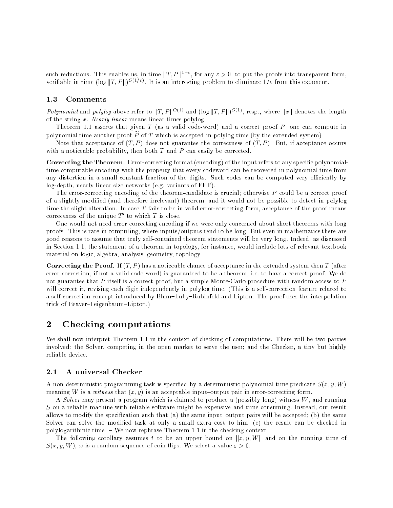such reductions. This enables us, in time  $||T, P||^{1+\epsilon}$ , for any  $\varepsilon > 0$ , to put the proofs into transparent form, verifiable in time  $(\log ||T, P||)^{O(1/\varepsilon)}$ . It is an interesting problem to eliminate  $1/\varepsilon$  from this exponent.

## 1.3 Comments

Polynomial and polylog above refer to  $||T, P||^{O(1)}$  and  $(\log ||T, P||)^{O(1)}$ , resp., where  $||x||$  denotes the length of the string x. Nearly linear means linear times polylog.

Theorem 1.1 asserts that given  $T$  (as a valid code-word) and a correct proof  $P$ , one can compute in polynomial time another proof  $\tilde{P}$  of T which is accepted in polylog time (by the extended system).

Note that acceptance of  $(T, P)$  does not guarantee the correctness of  $(T, P)$ . But, if acceptance occurs with a noticeable probability, then both  $T$  and  $P$  can easily be corrected.

Correcting the Theorem. Error-correcting format (encoding) of the input refers to any specific polynomialtime computable encoding with the property that every codeword can be recovered in polynomial time from any distortion in a small constant fraction of the digits. Such codes can be computed very efficiently by log-depth, nearly linear size networks (e.g. variants of FFT).

The error-correcting encoding of the theorem-candidate is crucial; otherwise P could be a correct proof of a slightly modied (and therefore irrelevant) theorem, and it would not be possible to detect in polylog time the slight alteration. In case T fails to be in valid error-correcting form, acceptance of the proof means correctness of the unique  $I$  to which  $I$  is close.

One would not need error-correcting encoding if we were only concerned about short theorems with long proofs. This is rare in computing, where inputs/outputs tend to be long. But even in mathematics there are good reasons to assume that truly self-contained theorem statements will be very long. Indeed, as discussed in Section 1.1, the statement of a theorem in topology, for instance, would include lots of relevant textbook material on logic, algebra, analysis, geometry, topology.

**Correcting the Proof.** If  $(T, P)$  has a noticeable chance of acceptance in the extended system then T (after error-correction, if not a valid code-word) is guaranteed to be a theorem, i.e. to have a correct proof. We do not guarantee that P itself is a correct proof, but a simple Monte-Carlo procedure with random access to P will correct it, revising each digit independently in polylog time. (This is a self-correction feature related to a self-correction concept introduced by Blum-Luby-Rubinfeld and Lipton. The proof uses the interpolation trick of Beaver-Feigenbaum-Lipton.)

# 2 Checking computations

We shall now interpret Theorem 1.1 in the context of checking of computations. There will be two parties involved: the Solver, competing in the open market to serve the user; and the Checker, a tiny but highly reliable device.

#### A universal Checker  $2.1$

A non-deterministic programming task is specified by a deterministic polynomial-time predicate  $S(x, y, W)$ meaning W is a witness that  $(x, y)$  is an acceptable input-output pair in error-correcting form.

A Solver may present a program which is claimed to produce a (possibly long) witness  $W$ , and running S on a reliable machine with reliable software might be expensive and time-consuming. Instead, our result allows to modify the specification such that (a) the same input-output pairs will be accepted; (b) the same Solver can solve the modied task at only a small extra cost to him; (c) the result can be checked in polylogarithmic time.  $-$  We now rephrase Theorem 1.1 in the checking context.

The following corollary assumes t to be an upper bound on  $\Vert x, y, W \Vert$  and on the running time of  $S(x, y, W)$ ;  $\omega$  is a random sequence of coin flips. We select a value  $\varepsilon > 0$ .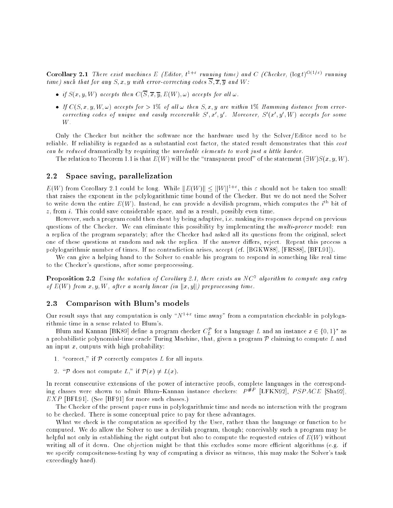**Corollary 2.1** There exist machines E (Editor,  $t^{1+\epsilon}$  running time) and C (Checker,  $(\log t)^{O(1/\epsilon)}$  running time) such that for any  $S, x, y$  with error-correcting codes  $\overline{S}, \overline{x}, \overline{y}$  and W:

- if S(x; y; y; we can be then C(S); y; e(W); in all light for all light for all light for all  $\alpha$
- If C(S) and If C(S) accepts for all lines for all the sympathy and the sympathy from the sympathy from errorcorrecting codes of unique and easily recoverable  $S$  ,x ,y . Moreover,  $S$  (x ,y ,vv) accepts for some W.

Only the Checker but neither the software nor the hardware used by the Solver/Editor need to be reliable. If reliability is regarded as a substantial cost factor, the stated result demonstrates that this cost can be reduced dramatically by requiring the unreliable elements to work just a little harder.

The relation to Theorem 1.1 is that  $E(W)$  will be the "transparent proof" of the statement  $(\exists W)S(x, y, W)$ .

## 2.2 Space saving, parallelization

 $E(W)$  from Corollary 2.1 could be long. While  $||E(W)|| \le ||W||^{1+\epsilon}$ , this  $\varepsilon$  should not be taken too small: that raises the exponent in the polylogarithmic time bound of the Checker. But we do not need the Solver to write down the entire  $E(W)$ . Instead, he can provide a devilish program, which computes the  $i^{\pm}$  bit of  $z$ , from  $i$ . This could save considerable space, and as a result, possibly even time.

However, such a program could then cheat by being adaptive, i.e. making its responses depend on previous questions of the Checker. We can eliminate this possibility by implementing the multi-prover model: run a replica of the program separately; after the Checker had asked all its questions from the original, select one of these questions at random and ask the replica. If the answer differs, reject. Repeat this process a polylogarithmic number of times. If no contradiction arises, accept (cf. [BGKW88], [FRS88], [BFL91]).

We can give a helping hand to the Solver to enable his program to respond in something like real time to the Checker's questions, after some preprocessing.

**Proposition 2.2** Using the notation of Corollary 2.1, there exists an IVC <sup>-</sup> algorithm to compute any entry of  $E(W)$  from  $x, y, W$ , after a nearly linear (in  $||x, y||$ ) preprocessing time.

## 2.3 Comparison with Blum's models

Our result says that any computation is only " $N^{1+\varepsilon}$  time away" from a computation checkable in polylogarithmic time in a sense related to Blum's.

Blum and Kannan [BK89] define a program checker  $\cup_L^+$  for a language L and an instance  $x\in\{0,1\}^+$  as a probabilistic polynomial-time oracle Turing Machine, that, given a program  $P$  claiming to compute  $L$  and an input  $x$ , outputs with high probability:

- 1. "correct," if  $P$  correctly computes L for all inputs.
- 2. "P does not compute L," if  $\mathcal{P}(x) \neq L(x)$ .

In recent consecutive extensions of the power of interactive proofs, complete languages in the corresponding classes were shown to admit Blum–Kannan instance checkers:  $P^{HP}$  [LFKN92],  $PSPACE$  [Sha92],  $EXP$  [BFL91]. (See [BF91] for more such classes.)

The Checker of the present paper runs in polylogarithmic time and needs no interaction with the program to be checked. There is some conceptual price to pay for these advantages.

What we check is the computation as specied by the User, rather than the language or function to be computed. We do allow the Solver to use a devilish program, though; conceivably such a program may be helpful not only in establishing the right output but also to compute the requested entries of  $E(W)$  without writing all of it down. One objection might be that this excludes some more efficient algorithms (e.g. if we specify compositeness-testing by way of computing a divisor as witness, this may make the Solver's task exceedingly hard).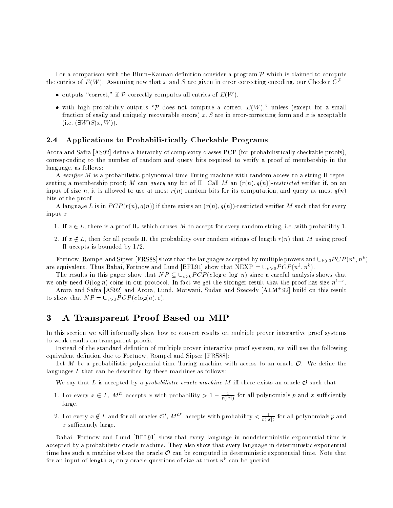For a comparison with the Blum–Kannan definition consider a program  $P$  which is claimed to compute the entries of  $E(W)$ . Assuming now that x and S are given in error correcting encoding, our Checker  $C^{\mathcal{P}}$ 

- outputs \correct," if <sup>P</sup> correctly computes all entries of E(W).
- with any probability outputs  $\ell$  and  $\ell$  and compute a correct  $\ell$  ,  $\ell$  , and  $\ell$  and a small fraction of easily and uniquely recoverable errors)  $x, S$  are in error-correcting form and x is acceptable (i.e.  $(\exists W)S(x,W)$ ).

### 2.4 Applications to Probabilistically Checkable Programs

Arora and Safra [AS92] define a hierarchy of complexity classes PCP (for probabilistically checkable proofs). corresponding to the number of random and query bits required to verify a proof of membership in the language, as follows:

A verifier M is a probabilistic polynomial-time Turing machine with random access to a string  $\Pi$  representing a membership proof; M can query any bit of  $\Pi$ . Call M an  $(r(n), q(n))$ -restricted verifier if, on an input of size n, it is allowed to use at most  $r(n)$  random bits for its computation, and query at most  $q(n)$ bits of the proof.

A language L is in  $PCP(r(n), q(n))$  if there exists an  $(r(n), q(n))$ -restricted verifier M such that for every input  $x$ :

- 1. If  $x \in L$ , there is a proof  $\Pi_x$  which causes M to accept for every random string, i.e., with probability 1.
- 2. If  $x \notin L$ , then for all proofs  $\Pi$ , the probability over random strings of length  $r(n)$  that M using proof  $\Pi$  accepts is bounded by  $1/2$ .

Fortnow, Rompel and Sipser [FRS88] show that the languages accepted by multiple provers and  $\cup_{k>0} PCP (n^k,n^k)$ are equivalent. Thus Babai, Fortnow and Lund [BFL91] show that NEXP =  $\cup_{k>0} PCP (n^k, n^k)$ .

The results in this paper show that  $NP \subseteq \bigcup_{c>0} PCP(c \log n, \log^c n)$  since a careful analysis shows that we only need  $O(\log n)$  coins in our protocol. In fact we get the stronger result that the proof has size  $n^{1+\epsilon}$ .

Arora and Safra [AS92] and Arora, Lund, Motwani, Sudan and Szegedy [ALM<sup>+</sup> 92] build on this result to show that  $NP = \bigcup_{c>0} PCP(c \log(n), c)$ .

# 3 A Transparent Proof Based on MIP

In this section we will informally show how to convert results on multiple prover interactive proof systems to weak results on transparent proofs.

Instead of the standard defintion of multiple prover interactive proof systesm, we will use the following equivalent defintion due to Fortnow, Rompel and Sipser [FRS88]:

Let M be a probabilistic polynomial time Turing machine with access to an oracle  $\mathcal{O}$ . We define the languages L that can be described by these machines as follows:

We say that L is accepted by a *probabilistic oracle machine M* iff there exists an oracle  $\mathcal O$  such that

- 1. For every  $x \in L$ ,  $M^*$  accepts x with probability  $> 1 \frac{1}{p(\lceil x \rceil)}$  for all polynomials p and x sufficiently large.
- 2. For every  $x \notin L$  and for all oracles  $\mathcal{O}',M^{\mathcal{O}'}$  accepts with probability  $<\frac{1}{p(|x|)}$  for all polynomials  $p$  and  $x$  sufficiently large.

Babai, Fortnow and Lund [BFL91] show that every language in nondeterministic exponential time is accepted by a probabilistic oracle machine. They also show that every language in deterministic exponential time has such a machine where the oracle  $\mathcal O$  can be computed in deterministic exponential time. Note that for an input of length n, only oracle questions of size at most  $n^k$  can be queried.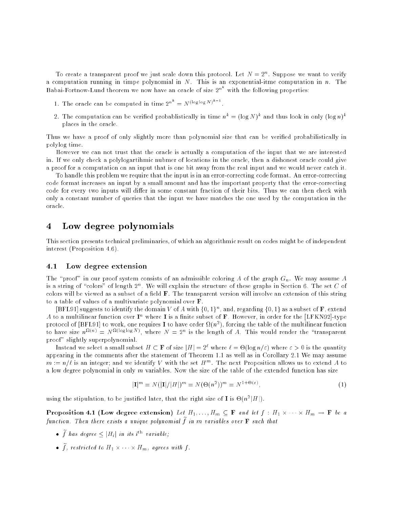To create a transparent proof we just scale down this protocol. Let  $N=2^n$ . Suppose we want to verify a computation running in timpe polynomial in  $N$ . This is an exponential-itme computation in  $n$ . The Babai-Fortnow-Lund theorem we now have an oracle of size  $2^n$  with the following properties:

- 1. The oracle can be computed in time  $2^{n^k} = N^{(\log \log N)^{k-1}}$
- 2. The computation can be verified probablistically in time  $n^k = (\log N)^k$  and thus look in only  $(\log n)^k$ places in the oracle.

Thus we have a proof of only slightly more than polynomial size that can be veried probabilistically in polylog time.

However we can not trust that the oracle is actually a computation of the input that we are interested in. If we only check a polylogartihmic nubmer of locations in the oracle, then a dishonest oracle could give a proof for a computation on an input that is one bit away from the real input and we would never catch it.

To handle this problem we require that the input is in an error-correcting code format. An error-correcting code format increases an input by a small amount and has the important property that the error-correcting code for every two inputs will differ in some constant fraction of their bits. Thus we can then check with only a constant number of queries that the input we have matches the one used by the computation in the oracle.

### Low degree polynomials  $\overline{4}$

This section presents technical preliminaries, of which an algorithmic result on codes might be of independent interest (Proposition 4.6).

#### 4.1 Low degree extension

The "proof" in our proof system consists of an admissible coloring A of the graph  $G_n$ . We may assume A is a string of "colors" of length 2<sup>n</sup>. We will explain the structure of these graphs in Section 6. The set C of colors will be viewed as a subset of a field **F**. The transparent version will involve an extension of this string to a table of values of a multivariate polynomial over F.

 $|BFL91|$  suggests to identify the domain V of A with  $\{0,1\}^n$ , and, regarding  $\{0,1\}$  as a subset of **F**, extend A to a multilinear function over  $I^n$  where I is a finite subset of F. However, in order for the [LFKN92]-type protocol of  $|{\bf B}$ FL91] to work, one requires 1 to have order  $\Omega(n^+)$ , forcing the table of the multilinear function to have size  $n^{\Omega(n)} = N^{\Omega(\log \log N)}$ , where  $N = 2^n$  is the length of A. This would render the "transparent" proof" slightly superpolynomial.

Instead we select a small subset  $H \subset \mathbf{F}$  of size  $|H| = 2^{\ell}$  where  $\ell = \Theta(\log n/\varepsilon)$  where  $\varepsilon > 0$  is the quantity appearing in the comments after the statement of Theorem 1.1 as well as in Corollary 2.1 We may assume  $m := n/\ell$  is an integer; and we identify V with the set  $H^m$ . The next Proposition allows us to extend A to a low degree polynomial in only  $m$  variables. Now the size of the table of the extended function has size

$$
|\mathbf{I}|^{m} = N(|\mathbf{I}|/|H|)^{m} = N(\Theta(n^{2}))^{m} = N^{1+\Theta(\varepsilon)},
$$
\n(1)

using the stipulation, to be justified later, that the right size of **1** is  $\Theta(n^2|H|)$ .

**F** represented it is (now degree extension) Let  $H_1, \ldots, H_m \subset \mathbf{F}$  and tet f  $\ldots$   $H_1 \wedge \ldots \wedge H_m$   $\to$  **F** we a function. Then there exists a unique polynomial  $\widetilde{f}$  in m variables over **F** such that

- $\bullet$  j has degree  $\leq$   $\vert$   $\pi_i\vert$  in its i variable;
- $\bullet$  f, restricted to  $H_1 \wedge \cdots \wedge H_m$ , agrees with f.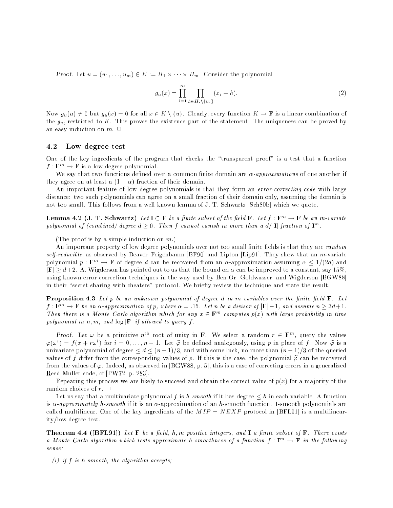**Proof.** Let  $u = (u_1, \ldots, u_m) \in \mathbb{R}$   $\longrightarrow$   $H \mid \wedge \cdots \wedge H \mid m$ . Consider the polynomial

$$
g_u(x) = \prod_{i=1}^m \prod_{h \in H_i \setminus \{u_i\}} (x_i - h).
$$
 (2)

Now  $g_u(u) \neq 0$  but  $g_u(x) = 0$  for all  $x \in K \setminus \{u\}$ . Clearly, every function  $K \to \mathbf{F}$  is a linear combination of the  $g_u$ , restricted to K. This proves the existence part of the statement. The uniqueness can be proved by an easy induction on  $m$ .  $\Box$ 

#### Low degree test 4.2

One of the key ingredients of the program that checks the \transparent proof" is a test that a function  $f : \mathbf{F}^m \to \mathbf{F}$  is a low degree polynomial.

We say that two functions defined over a common finite domain are  $\alpha$ -approximations of one another if they agree on at least a  $(1 - \alpha)$  fraction of their domain.

An important feature of low degree polynomials is that they form an *error-correcting code* with large distance: two such polynomials can agree on a small fraction of their domain only, assuming the domain is not too small. This follows from a well known lemma of J. T. Schwartz [Sch80b] which we quote.

**Lemma 4.2 (J. T. Schwartz)** Let  $I \subset F$  be a finite subset of the field  $F$ . Let  $f : F^m \to F$  be an m-variate polynomial of (combined) degree  $d > 0$ . Then f cannot vanish in more than a  $d/|\mathbf{I}|$  fraction of  $\mathbf{I}^m$ .

(The proof is by a simple induction on  $m$ .)

An important property of low degree polynomials over not too small finite fields is that they are random self-reducible, as observed by Beaver-Feigenbaum [BF90] and Lipton [Lip91]. They show that an m-variate polynomial  $p : \mathbf{F}^m \to \mathbf{F}$  of degree d can be recovered from an  $\alpha$ -approximation assuming  $\alpha \leq 1/(2d)$  and  $|\mathbf{F}| \geq d+2$ . A. Wigderson has pointed out to us that the bound on  $\alpha$  can be improved to a constant, say 15%, using known error-correction techniques in the way used by Ben-Or, Goldwasser, and Wigderson [BGW88] in their "secret sharing with cheaters" protocol. We briefly review the technique and state the result.

**Proposition 4.3** Let  $p$  be an unknown polynomial of degree  $d$  in  $m$  variables over the finite field  $\mathbf{F}$ . Let  $f: \mathbf{F}^m \to \mathbf{F}$  be an  $\alpha$ -approximation of p, where  $\alpha = .15$ . Let n be a divisor of  $|\mathbf{F}|-1$ , and assume  $n \geq 3d+1$ . Then there is a Monte Carlo algorithm which for any  $x \in \mathbf{F}^m$  computes  $p(x)$  with large probability in time polynomial in  $n, m,$  and  $\log |\mathbf{F}|$  if allowed to query f.

Proof. Let  $\omega$  be a primitive  $n^{th}$  root of unity in **F**. We select a random  $r \in \mathbf{F}^m$ , query the values  $\varphi(\omega^i) = f(x + r\omega^i)$  for  $i = 0, \ldots, n-1$ . Let  $\widetilde{\varphi}$  be defined analogously, using p in place of f. Now  $\widetilde{\varphi}$  is a univariate polynomial of degree  $\leq d \leq (n-1)/3$ , and with some luck, no more than  $(n-1)/3$  of the queried values of f differ from the corresponding values of p. If this is the case, the polynomial  $\tilde{\varphi}$  can be recovered from the values of  $\varphi$ . Indeed, as observed in [BGW88, p. 5], this is a case of correcting errors in a generalized Reed-Muller code, cf.[PW72, p. 283].

Repeating this process we are likely to succeed and obtain the correct value of  $p(x)$  for a majority of the random choices of  $r$ .  $\Box$ 

Let us say that a multivariate polynomial f is h-smooth if it has degree  $\leq h$  in each variable. A function is  $\alpha$ -approximately h-smooth if it is an  $\alpha$ -approximation of an h-smooth function. 1-smooth polynomials are called multilinear. One of the key ingredients of the  $MIP = NEXP$  protocol in [BFL91] is a multilinearity/low degree test.

**Theorem 4.4 ([BFL91])** Let  $F$  be a field, h,m positive integers, and **I** a finite subset of  $F$ . There exists a Monte Carlo algorithm which tests approximate h-smoothness of a function  $f: \mathbf{I}^m \to \mathbf{F}$  in the following sense:

(i) if f is h-smooth, the algorithm accepts;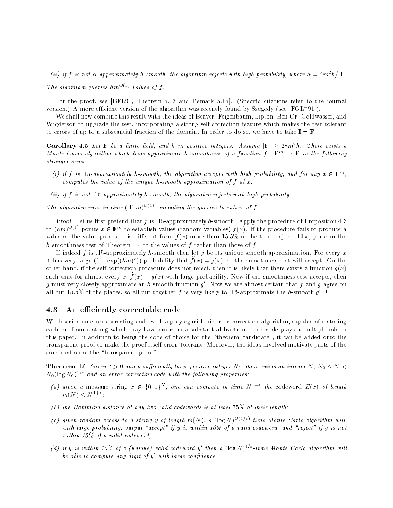(ii) if f is not  $\alpha$ -approximately n-smooth, the algorithm rejects with high probability, where  $\alpha =$  4m=n/[1].

The algorithm queries  $hm^{O(1)}$  values of f.

For the proof, see [BFL91, Theorem 5.13 and Remark 5.15]. (Specific citations refer to the journal version.) A more emclent version of the algorithm was recently found by Szegedy (see [FGL+91]).

We shall now combine this result with the ideas of Beaver, Feigenbaum, Lipton, Ben-Or, Goldwasser, and Wigderson to upgrade the test, incorporating a strong self-correction feature which makes the test tolerant to errors of up to a substantial fraction of the domain. In order to do so, we have to take  $I = F$ .

Corollary 4.5 Let  $\bf r$  be a jinue jiela, and  $n,m$  positive integers. Assume  $|\bf r| > 28$ m<sup>2</sup>n. There exists a Monte Carlo algorithm which tests approximate h-smoothness of a function  $f : \mathbf{F}^m \to \mathbf{F}$  in the following stronger sense:

- (i) if f is .15-approximately h-smooth, the algorithm accepts with high probability; and for any  $x \in \mathbf{F}^m$ , computes the value of the unique h-smooth approximation of  $f$  at  $x$ ;
- (ii) if f is not  $16$ -approximately h-smooth, the algorithm rejects with high probability.

The algorithm runs in time  $(|\mathbf{F}|m)^{O(1)}$ , including the queries to values of f.

*Proof.* Let us first pretend that  $f$  is .15-approximately h-smooth. Apply the procedure of Proposition 4.3 to  $(hm)^{O(1)}$  points  $x \in \mathbf{F}^m$  to establish values (random variables)  $f(x)$ . If the procedure fails to produce a value or the value produced is different from  $f(x)$  more than 15.5% of the time, reject. Else, perform the h-smoothness test of Theorem 4.4 to the values of  $\tilde{f}$  rather than those of f.

If indeed f is .15-approximately h-smooth then let g be its unique smooth approximation. For every x it has very large  $(1 - \exp(\frac{h m}{c}))$  probability that  $f(x) = g(x)$ , so the smoothness test will accept. On the other hand, if the self-correction procedure does not reject, then it is likely that there exists a function  $g(x)$ such that for almost every x,  $\tilde{f}(x) = g(x)$  with large probability. Now if the smoothness test accepts, then  $g$  must very closely approximate an  $n$ -smooth function  $g$  . Now we are almost certain that  $f$  and  $g$  agree on all but 15.5% of the places, so all put together f is very likely to .16-approximate the h-smooth  $q$  .  $\sqcup$ 

### 4.3 An efficiently correctable code

We describe an error-correcting code with a polylogarithmic error correction algorithm, capable of restoring each bit from a string which may have errors in a substantial fraction. This code plays a multiple role in this paper. In addition to being the code of choice for the \theorem{candidate", it can be added onto the transparent proof to make the proof itself error-tolerant. Moreover, the ideas involved motivate parts of the construction of the "transparent proof".

 $\blacksquare$  . The set  $\blacksquare$  is the contract of and a sufficiently large positive integer  $\blacksquare$  () and the set  $\blacksquare$  $N_0(\log N_0)^{1/\varepsilon}$  and an error-correcting code with the following properties:

- (a) given a message string  $x \in \{0,1\}^N$ , one can compute in time  $N^{1+\epsilon}$  the codeword  $E(x)$  of length  $m(N) \le N^{1+\epsilon}$ ;
- (b) the Hamming distance of any two valid codewords is at least 75% of their length;
- (c) given random access to a string y of length  $m(N)$ , a  $(\log N)^{O(1/\varepsilon)}$ -time Monte Carlo algorithm will, with large probability, output "accept" if y is within 10% of a valid codeword, and "reject" if y is not within 15% of a valid codeword;
- (d) if y is within 15% of a (unique) valid codeword y' then a  $(\log N)^{1/\varepsilon}$ -time Monte Carlo algorithm will ve avie to compute any aight of your and targe confidence.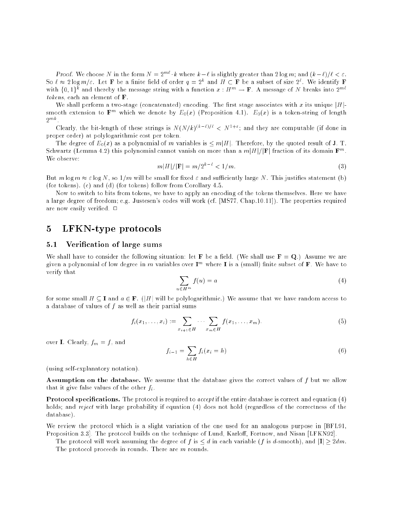Proof. We choose N in the form  $N = 2^{m\ell} \cdot k$  where  $k-\ell$  is slightly greater than  $2 \log m$ ; and  $(k-\ell)/\ell < \varepsilon$ . So  $\ell \approx 2\log m/\varepsilon$ . Let **F** be a finite field of order  $q=2^k$  and  $H\subset \mathbf{F}$  be a subset of size  $2^\ell$ . We identify **F** with  $\{0,1\}^k$  and thereby the message string with a function  $x : H^m \to \mathbf{F}$ . A message of N breaks into  $2^{m\ell}$ tokens, each an element of F.

We shall perform a two-stage (concatenated) encoding. The first stage associates with x its unique  $|H|$ smooth extension to  $\mathbf{F}^m$  which we denote by  $E_0(x)$  (Proposition 4.1).  $E_0(x)$  is a token-string of length  $2^{mk}$ .

Clearly, the bit-length of these strings is  $N(N/k)^{(k-\ell)/\ell} < N^{1+\epsilon}$ ; and they are computable (if done in proper order) at polylogarithmic cost per token.

The degree of  $E_0(x)$  as a polynomial of m variables is  $\leq m|H|$ . Therefore, by the quoted result of J. T. Schwartz (Lemma 4.2) this polynomial cannot vanish on more than a  $m|H|/|\mathbf{F}|$  fraction of its domain  $\mathbf{F}^m$ . We observe:

$$
m|H|/|\mathbf{F}| = m/2^{k-\ell} < 1/m. \tag{3}
$$

But  $m \log m \approx \varepsilon \log N$ , so  $1/m$  will be small for fixed  $\varepsilon$  and sufficiently large N. This justifies statement (b) (for tokens). (c) and (d) (for tokens) follow from Corollary 4.5.

Now to switch to bits from tokens, we have to apply an encoding of the tokens themselves. Here we have a large degree of freedom; e.g. Justesen's codes will work (cf. [MS77, Chap.10.11]). The properties required are now easily verified.  $\Box$ 

### LFKN-type protocols  $\overline{5}$

## 5.1 Verification of large sums

We shall have to consider the following situation: let **F** be a field. (We shall use  $\mathbf{F} = \mathbf{Q}$ .) Assume we are given a polynomial of low degree in m variables over  $\mathbf{I}^m$  where **I** is a (small) finite subset of **F**. We have to verify that

$$
\sum_{u \in H^m} f(u) = a \tag{4}
$$

for some small  $H \subseteq I$  and  $a \in F$ . (|H| will be polylogarithmic.) We assume that we have random access to a database of values of  $f$  as well as their partial sums

$$
f_i(x_1,\ldots,x_i) := \sum_{x_{i+1} \in H} \cdots \sum_{x_m \in H} f(x_1,\ldots,x_m).
$$
 (5)

over **I**. Clearly,  $f_m = f$ , and

$$
f_{i-1} = \sum_{h \in H} f_i(x_i = h)
$$
 (6)

(using self-explanatory notation).

Assumption on the database. We assume that the database gives the correct values of f but we allow that it give false values of the other  $f_i$ .

**Protocol specifications.** The protocol is required to *accept* if the entire database is correct and equation  $(4)$ holds; and reject with large probability if equation (4) does not hold (regardless of the correctness of the database).

We review the protocol which is a slight variation of the one used for an analogous purpose in [BFL91, Proposition 3.3]. The protocol builds on the technique of Lund, Karloff, Fortnow, and Nisan [LFKN92].

The protocol will work assuming the degree of f is  $\leq d$  in each variable (f is d-smooth), and  $|\mathbf{I}| \geq 2dm$ . The protocol proceeds in rounds. There are m rounds.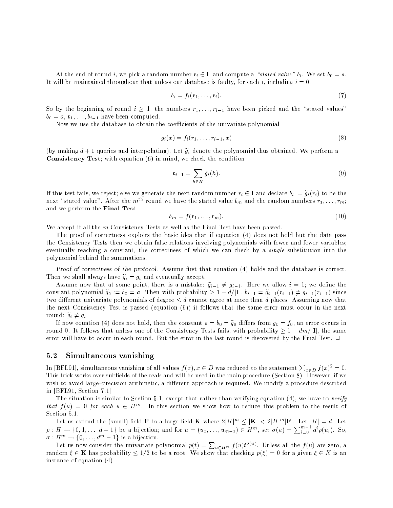At the end of round i, we pick a random number  $r_i \in \mathbf{I}$ ; and compute a "stated value"  $b_i$ . We set  $b_0 = a$ . It will be maintained throughout that unless our database is faulty, for each i, including  $i = 0$ ,

$$
b_i = f_i(r_1, \ldots, r_i). \tag{7}
$$

So by the beginning of round  $i \geq 1$ , the numbers  $r_1, \ldots, r_{i-1}$  have been picked and the "stated values"  $b_0 = a, b_1, \ldots, b_{i-1}$  have been computed.

Now we use the database to obtain the coefficients of the univariate polynomial

$$
g_i(x) = f_i(r_1, \dots, r_{i-1}, x)
$$
\n(8)

(by making  $d+1$  queries and interpolating). Let  $\tilde{g}_i$  denote the polynomial thus obtained. We perform a Consistency Test; with equation (6) in mind, we check the condition

$$
b_{i-1} = \sum_{h \in H} \widetilde{g}_i(h). \tag{9}
$$

If this test fails, we reject; else we generate the next random number  $r_i \in I$  and declare  $b_i := \tilde{g}_i(r_i)$  to be the next "stated value". After the m<sup>th</sup> round we have the stated value  $b_m$  and the random numbers  $r_1, \ldots, r_m;$ and we perform the Final Test

$$
b_m = f(r_1, \dots, r_m). \tag{10}
$$

We accept if all the m Consistency Tests as well as the Final Test have been passed.

The proof of correctness exploits the basic idea that if equation (4) does not hold but the data pass the Consistency Tests then we obtain false relations involving polynomials with fewer and fewer variables; eventually reaching a constant, the correctness of which we can check by a single substitution into the polynomial behind the summations.

Proof of correctness of the protocol. Assume first that equation  $(4)$  holds and the database is correct. Then we shall always have  $\widetilde{g}_i = g_i$  and eventually accept.

Assume now that at some point, there is a mistake:  $\tilde{g}_{i-1} \neq g_{i-1}$ . Here we allow  $i = 1$ ; we define the constant porynomial  $g_0 := v_0 = a$ . Then with probability  $\geq 1 = a/|1|,$   $v_{i-1} = g_{i-1}(r_{i-1}) \neq g_{i-1}(r_{i-1})$  since two different univariate polynomials of degree  $\leq d$  cannot agree at more than d places. Assuming now that the next Consistency Test is passed (equation (9)) it follows that the same error must occur in the next round:  $\widetilde{g}_i \neq g_i$ .

If now equations (4) does not hold, then the constant a  $\rightarrow 0$  =  $g0$  different  $g0$  =  $f0$ , and the constant round 0. It follows that unless one of the Consistency Tests fails, with probability  $\geq 1 - dm/|\mathbf{I}|$ , the same error will have to occur in each round. But the error in the last round is discovered by the Final Test.  $\Box$ 

#### $5.2$ Simultaneous vanishing

In [BFL91], simultaneous vanishing of all values  $f(x), x \in D$  was reduced to the statement  $\sum_{x \in D} f(x)^2 = 0$ . This trick works over subfields of the reals and will be used in the main procedure (Section 8). However, if we wish to avoid large-precision arithmetic, a different approach is required. We modify a procedure described in [BFL91, Section 7.1].

The situation is similar to Section 5.1, except that rather than verifying equation  $(4)$ , we have to verify that  $f(u) = 0$  for each  $u \in H^m$ . In this section we show how to reduce this problem to the result of Section 5.1.

Let us extend the (small) field **F** to a large field **K** where  $2|H|^m \leq |\mathbf{K}| < 2|H|^m |\mathbf{F}|$ . Let  $|H| = d$ . Let  $\rho : H \to \{0, 1, \ldots, d-1\}$  be a bijection; and for  $u = (u_0, \ldots, u_{m-1}) \in H^m$ , set  $\sigma(u) = \sum_{i=0}^{m-1} d^i \rho(u_i)$ . So  $\sigma: H^m \to \{0, \ldots, d^m - 1\}$  is a bijection.

Let us now consider the univariate polynomial  $p(t) = \sum_{u \in H^m} f(u)t^{\sigma(u)}$ . Unless all the  $f(u)$  are zero, a random 2 K was propaganted that a root a root. We show that checking b( ) = 0 for a given 2 K is an an instance of equation (4).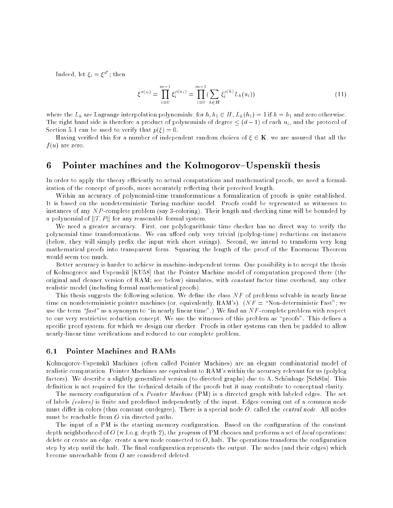Indeed, let  $\xi_i = \xi^{d^i}$ ; then

$$
\xi^{\sigma(u)} = \prod_{i=0}^{m-1} \xi_i^{\rho(u_i)} = \prod_{i=0}^{m-1} \left( \sum_{h \in H} \xi_i^{\rho(h)} L_h(u_i) \right)
$$
(11)

where the  $L_h$  are Lagrange interpolation polynomials: for  $h, h_1 \in H$ ,  $L_h(h_1) = 1$  if  $h = h_1$  and zero otherwise. The right hand side is therefore a product of polynomials of degree  $\leq (d-1)$  of each  $u_i$ , and the protocol of Section 5.1 can be used to verify that  $p(\xi) = 0$ .

Having verified this for a number of independent random choices of  $\xi \in \mathbf{K}$ , we are assured that all the  $f(u)$  are zero.

## 6 Pointer machines and the Kolmogorov–Uspenski thesis

In order to apply the theory efficiently to actual computations and mathematical proofs, we need a formalization of the concept of proofs, more accurately reflecting their perceived length.

Within an accuracy of polynomial-time transformations a formalization of proofs is quite established. It is based on the nondeterministic Turing machine model. Proofs could be represented as witnesses to instances of any NP-complete problem (say 3-coloring). Their length and checking time will be bounded by a polynomial of  $||T, P||$  for any reasonable formal system.

We need a greater accuracy. First, our polylogarithmic time checker has no direct way to verify the polynomial time transformations. We can afford only very trivial (polylog-time) reductions on instances (below, they will simply prefix the input with short strings). Second, we intend to transform very long mathematical proofs into transparent form. Squaring the length of the proof of the Enormous Theorem would seem too much.

Better accuracy is harder to achieve in machine-independent terms. One possibility is to accept the thesis of Kolmogorov and Uspenski [KU58] that the Pointer Machine model of computation proposed there (the original and cleaner version of RAM; see below) simulates, with constant factor time overhead, any other realistic model (including formal mathematical proofs).

This thesis suggests the following solution. We define the class  $NF$  of problems solvable in nearly linear time on nondeterministic pointer machines (or, equivalently, RAM's).  $(NF = "Non-deterministic Fast";$  we use the term  $\frac{fast}{}$  as a synonym to "in nearly linear time".) We find an N F-complete problem with respect to our very restrictive reduction concept. We use the witnesses of this problem as "proofs". This defines a specific proof system, for which we design our checker. Proofs in other systems can then be padded to allow nearly-linear time verications and reduced to our complete problem.

#### $6.1$ Pointer Machines and RAMs

Kolmogorov-Uspenski Machines (often called Pointer Machines) are an elegant combinatorial model of realistic computation. Pointer Machines are equivalent to RAM's within the accuracy relevant for us (polylog factors). We describe a slightly generalized version (to directed graphs) due to A. Schönhage [Sch80a]. This definition is not required for the technical details of the proofs but it may contribute to conceptual clarity.

The memory configuration of a *Pointer Machine* (PM) is a directed graph with labeled edges. The set of labels (colors) is finite and predefined independently of the input. Edges coming out of a common node must differ in colors (thus constant outdegree). There is a special node  $O$ , called the *central node*. All nodes must be reachable from O via directed paths.

The input of a PM is the starting memory configuration. Based on the configuration of the constant depth neighborhood of  $O$  (w.l.o.g. depth 2), the *program* of PM chooses and performs a set of *local* operations: delete or create an edge, create a new node connected to  $O$ , halt. The operations transform the configuration step by step until the halt. The final configuration represents the output. The nodes (and their edges) which become unreachable from O are considered deleted.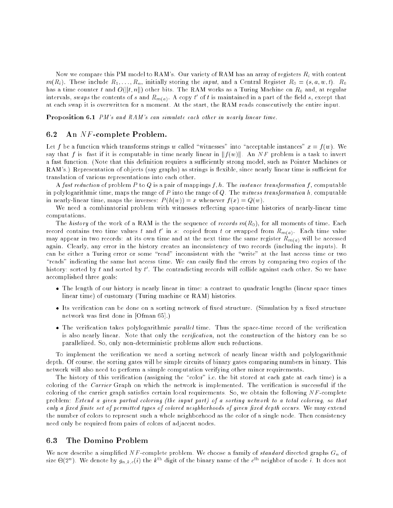Now we compare this PM model to RAM's. Our variety of RAM has an array of registers  $R_i$  with content  $m(R_i)$ . These include  $R_1, \ldots, R_n$ , initially storing the *input*, and a Central Register  $R_0 = (s, a, w, t)$ .  $R_0$ has a time counter t and O(kt; nk) other bits. The RAM works as a Turing Machine on R0 and, at regular intervals, swaps the contents of s and  $\kappa_{m(a)}$  . A copy  $t$  of  $t$  is maintained in a part of the neid  $s,$  except that at each swap it is overwritten for a moment. At the start, the RAM reads consecutively the entire input.

Proposition 6.1 PM's and RAM's can simulate each other in nearly linear time.

## 6.2 An NF -complete Problem.

Let f be a function which transforms strings w called "witnesses" into "acceptable instances"  $x = f(w)$ . We say that f is fast if it is computable in time nearly linear in  $||f(w)||$ . An NF problem is a task to invert a fast function. (Note that this definition requires a sufficiently strong model, such as Pointer Machines or RAM's.) Representation of objects (say graphs) as strings is flexible, since nearly linear time is sufficient for translation of various representations into each other.

A fast reduction of problem P to Q is a pair of mappings  $f, h$ . The instance transformation f, computable in polylogarithmic time, maps the range of P into the range of Q. The witness transformation h, computable in nearly-linear time, maps the inverses:  $P(h(w)) = x$  whenever  $f(x) = Q(w)$ .

We need a combinatorial problem with witnesses reflecting space-time histories of nearly-linear time computations.

The history of the work of a RAM is the the sequence of records  $m(R_0)$ , for all moments of time. Each record contains two time values t and t in s: copied from t or swapped from  $R_{m(a)}$ . Each time value may appear in two records: at its own time and at the next time the same register  $R_{m(a)}$  will be accessed again. Clearly, any error in the history creates an inconsistency of two records (including the inputs). It can be either a Turing error or some "read" inconsistent with the "write" at the last access time or two "reads" indicating the same last access time. We can easily find the errors by comparing two copies of the mistory: sorted by  $\iota$  and sorted by  $\iota$  . The contradicting records will collide against each other. So we have accomplished three goals:

- The length of our history is nearly linear in time: a contrast to quadratic lengths (linear space times linear time) of customary (Turing machine or RAM) histories.
- Its verication can be done on a sorting network of xed structure. (Simulation by a xed structure network was first done in [Ofman 65].)
- The verication takes polylogarithmic paral lel time. Thus the space-time record of the verication is also nearly linear. Note that only the *verification*, not the construction of the history can be so parallelized. So, only non-deterministic problems allow such reductions.

To implement the verification we need a sorting network of nearly linear width and polylogarithmic depth. Of course, the sorting gates will be simple circuits of binary gates comparing numbers in binary. This network will also need to perform a simple computation verifying other minor requirements.

The history of this verification (assigning the "color" i.e. the bit stored at each gate at each time) is a coloring of the *Carrier* Graph on which the network is implemented. The verification is successful if the coloring of the carrier graph satisfies certain local requirements. So, we obtain the following  $NF$ -complete problem: Extend a given partial coloring (the input part) of a sorting network to a total coloring, so that only a fixed finite set of permitted types of colored neighborhoods of given fixed depth occurs. We may extend the number of colors to represent such a whole neighborhood as the color of a single node. Then consistency need only be required from pairs of colors of adjacent nodes.

## 6.3 The Domino Problem

We now describe a simplified NF-complete problem. We choose a family of standard directed graphs  $G_n$  of size  $\Theta(2^n)$ . We denote by  $g_{n,k,c}(i)$  the  $k^{\text{tn}}$  digit of the binary name of the  $c^{\text{tn}}$  neighbor of node  $i$ . It does not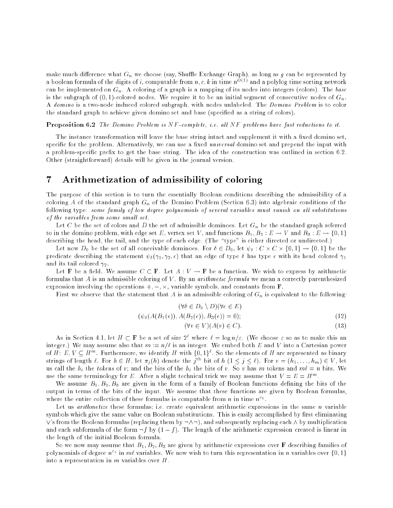make much difference what  $G_n$  we choose (say, Shuffle Exchange Graph), as long as g can be represented by a boolean formula of the digits of i, computable from  $n, c, k$  in time  $n^{O(1)}$  and a polylog time sorting network can be implemented on  $G_n$ . A coloring of a graph is a mapping of its nodes into integers (colors). The base is the subgraph of  $(0, 1)$ -colored nodes. We require it to be an initial segment of consecutive nodes of  $G_n$ . A domino is a two-node induced colored subgraph, with nodes unlabeled. The Domino Problem is to color the standard graph to achieve given domino set and base (specied as a string of colors).

**Proposition 6.2** The Domino Problem is NF-complete, i.e. all NF problems have fast reductions to it.

The instance transformation will leave the base string intact and supplement it with a fixed domino set. specific for the problem. Alternatively, we can use a fixed universal domino set and prepend the input with a problem-specific prefix to get the base string. The idea of the construction was outlined in section 6.2. Other (straightforward) details will be given in the journal version.

## 7 Arithmetization of admissibility of coloring

The purpose of this section is to turn the essentially Boolean conditions describing the admissibility of a coloring A of the standard graph  $G_n$  of the Domino Problem (Section 6.3) into algebraic conditions of the following type: some family of low degree polynomials of several variables must vanish on all substitutions of the variables from some small set.

Let C be the set of colors and D the set of admissible dominoes. Let  $G_n$  be the standard graph referred to in the domino problem, with edge set E, vertex set V , and functions B1; B2 : <sup>E</sup> ! <sup>V</sup> and B3 : <sup>E</sup> ! f0; 1g describing the head, the tail, and the type of each edge. (The "type" is either directed or undirected.)

Let now  $D_0$  be the set of all conceivable dominoes. For  $v \in D_0$ , let  $\psi_\delta : \cup \times \cup \times \{0,1\} \to \{0,1\}$  be the predicate describing the statement  $\psi_{\delta}(\gamma_1, \gamma_2, \epsilon)$  that an edge of type  $\delta$  has type  $\epsilon$  with its head colored  $\gamma_1$ and its tail colored to the colored term of the colored term of the colored term of the colored term of the co

Let **F** be a field. We assume  $C \subset \mathbf{F}$ . Let  $A: V \to \mathbf{F}$  be a function. We wish to express by arithmetic formulas that A is an admissible coloring of V. By an *arithmetic formula* we mean a correctly parenthesized expression involving the operations +; ; -, variable symbols, and constants from F.

First we observe that the statement that  $A$  is an admissible coloring of  $G_n$  is equivalent to the following:

$$
(\forall \delta \in D_0 \setminus D)(\forall e \in E)
$$

$$
(\psi_{\delta}(A(B_1(e)), A(B_2(e)), B_3(e)) = 0); \qquad (12)
$$

$$
(\forall v \in V)(A(v) \in C). \tag{13}
$$

As in Section 4.1, let  $H \subset \mathbf{F}$  be a set of size  $2^{\ell}$  where  $\ell = \log n / \varepsilon$ . (We choose  $\varepsilon$  so as to make this an integer.) We may assume also that  $m := n/\ell$  is an integer. We embed both E and V into a Cartesian power of H: E,  $V \subseteq H^m$ . Furthermore, we identify H with  $\{0,1\}^{\ell}$ . So the elements of H are represented as binary strings of length  $\ell$ . For  $n \in H$ , let  $\pi_j(n)$  denote the j<sup>our</sup> bit of  $n \ (1 \leq j \leq \ell)$ . For  $v = (n_1, \ldots, n_m) \in V$ , let us call the  $h_i$  the tokens of v; and the bits of the  $h_i$  the bits of v. So v has m tokens and  $m\ell = n$  bits. We use the same terminology for E. After a slight technical trick we may assume that  $V = E = H<sup>m</sup>$ .

We assume B1; B2; B3 are given in the form of a family of Boolean functions defined the form of the form of the form of the form of the form of the form of the form of the form of the form of the form of the form of the f output in terms of the bits of the input. We assume that these functions are given by Boolean formulas, where the entire collection of these formulas is computable from n in time  $n^{c_1}$ .

Let us *arithmetize* these formulas; i.e. create equivalent arithmetic expressions in the same *n* variable symbols which give the same value on Boolean substitutions. This is easily accomplished by first eliminating  $\vee$ 's from the Boolean formulas (replacing them by  $\neg \wedge \neg$ ), and subsequently replacing each  $\wedge$  by multiplication and each subformula of the form  $-f$  by  $(1 - f)$ . The length of the arithmetic expression created is linear in the length of the initial Boolean formula.

 $S$  , we now may assume that  $B_1, B_2, B_3, \ldots$  are given by arrithmetic expressions over  $F$  describing families of polynomials of degree  $n^{c_1}$  in m $\ell$  variables. We now wish to turn this representation in n variables over {0,1} into a representation in  $m$  variables over  $H$ .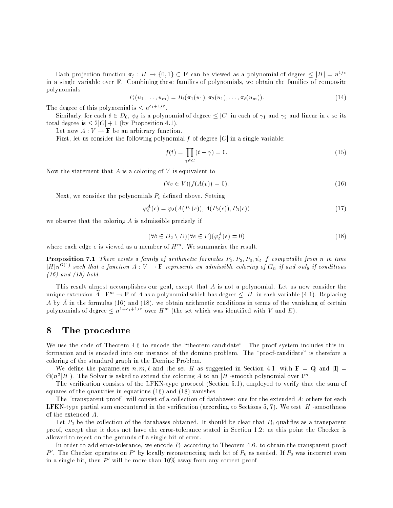Each projection function  $\pi_i : H \to \{0,1\} \subset \mathbf{F}$  can be viewed as a polynomial of degree  $\leq |H| = n^{1/\varepsilon}$ in a single variable over F. Combining these families of polynomials, we obtain the families of composite polynomials

$$
P_i(u_1,\ldots,u_m) = B_i(\pi_1(u_1),\pi_2(u_1),\ldots,\pi_\ell(u_m)).
$$
\n(14)

The degree of this polynomial is  $\leq n^{c_1+1/\varepsilon}$ .

Similarly, for each  $\delta \in D_0$ ,  $\psi_{\delta}$  is a polynomial of degree  $\leq |C|$  in each of  $\gamma_1$  and  $\gamma_2$  and linear in  $\epsilon$  so its total degree is  $\leq 2|C|+1$  (by Proposition 4.1).

Let now  $A: V \to \mathbf{F}$  be an arbitrary function.

First, let us consider the following polynomial f of degree  $|C|$  in a single variable:

$$
f(t) = \prod_{\gamma \in C} (t - \gamma) = 0.
$$
 (15)

Now the statement that  $A$  is a coloring of  $V$  is equivalent to

$$
(\forall v \in V)(f(A(v))) = 0). \tag{16}
$$

Next, we consider the polynomials  $P_i$  defined above. Setting

$$
\varphi_{\delta}^{A}(e) = \psi_{\delta}(A(P_1(e)), A(P_2(e)), P_3(e)) \tag{17}
$$

we observe that the coloring A is admissible precisely if

$$
(\forall \delta \in D_0 \setminus D)(\forall e \in E)(\varphi_{\delta}^A(e) = 0)
$$
\n(18)

where each edge e is viewed as a member of  $H^m$ . We summarize the result.

**Proposition 7.1** There exists a family of arithmetic formulas  $P_1, P_2, P_3, \psi_{\delta}, f$  computable from n in time  $|H|n^{O(1)}$  such that a function  $A: V \to \mathbf{F}$  represents an admissible coloring of  $G_n$  if and only if conditions  $(16)$  and  $(18)$  hold.

This result almost accomplishes our goal, except that A is not a polynomial. Let us now consider the unique extension A:  $\mathbf{F}^m \to \mathbf{F}$  of A as a polynomial which has degree  $\leq |H|$  in each variable (4.1). Replacing A by  $\widetilde{A}$  in the formulas (16) and (18), we obtain arithmetic conditions in terms of the vanishing of certain polynomials of degree  $\leq n^{1+c_1+1/\varepsilon}$  over  $H^m$  (the set which was identified with V and E).

## 8 The procedure

We use the code of Theorem 4.6 to encode the "theorem-candidate". The proof system includes this information and is encoded into our instance of the domino problem. The "proof-candidate" is therefore a coloring of the standard graph in the Domino Problem.

We define the parameters  $n, m, \ell$  and the set H as suggested in Section 4.1, with  $\mathbf{F} = \mathbf{Q}$  and  $|\mathbf{I}| =$  $\Theta(n^2|H|)$ . The Solver is asked to extend the coloring A to an |H|-smooth polynomial over  $\mathbf{I}^m$ .

The verification consists of the LFKN-type protocol (Section 5.1), employed to verify that the sum of squares of the quantities in equations (16) and (18) vanishes.

The "transparent proof" will consist of a collection of databases: one for the extended  $A$ ; others for each LFKN-type partial sum encountered in the verification (according to Sections 5, 7). We test  $|H|$ -smoothness of the extended A.

 $\mathbb{C}$  be the collection of the databases obtained. It should be clear that  $\mathbb{C}$ proof, except that it does not have the error-tolerance stated in Section 1.2: at this point the Checker is allowed to reject on the grounds of a single bit of error.

In order to add error-tolerance, we encode P0 according to Theorem 4.6. to obtain the transparent proof  $P$  . The Checker operates on  $P$  -by locally reconstructing each bit of  $P_0$  as needed. If  $P_0$  was incorrect even in a single bit, then  $P'$  will be more than 10% away from any correct proof.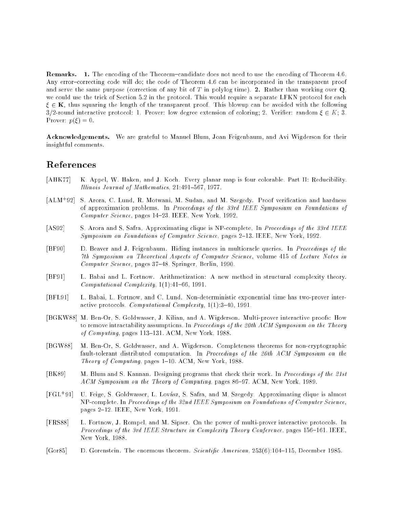Remarks. 1. The encoding of the Theorem-candidate does not need to use the encoding of Theorem 4.6. Any error-correcting code will do; the code of Theorem 4.6 can be incorporated in the transparent proof and serve the same purpose (correction of any bit of T in polylog time). 2. Rather than working over  $Q$ , we could use the trick of Section 5.2 in the protocol. This would require a separate LFKN protocol for each  $\xi \in \mathbf{K}$ , thus squaring the length of the transparent proof. This blowup can be avoided with the following 3/2-round interactive protocol: 1. Prover: low degree extension of coloring; 2. Verifier: random  $\xi \in K$ ; 3. Prover:  $p(\xi) = 0$ .

Acknowledgements. We are grateful to Manuel Blum, Joan Feigenbaum, and Avi Wigderson for their insightful comments.

## References

- [AHK77] K. Appel, W. Haken, and J. Koch. Every planar map is four colorable. Part II: Reducibility. Illinois Journal of Mathematics, 21:491-567, 1977.
- $[ALM+92]$ S. Arora, C. Lund, R. Motwani, M. Sudan, and M. Szegedy. Proof verification and hardness of approximation problems. In Proceedings of the 33rd IEEE Symposium on Foundations of Computer Science, pages 14-23. IEEE, New York, 1992.
- [AS92] S. Arora and S. Safra. Approximating clique is NP-complete. In Proceedings of the 33rd IEEE Symposium on Foundations of Computer Science, pages 2-13. IEEE, New York, 1992.
- [BF90] D. Beaver and J. Feigenbaum. Hiding instances in multioracle queries. In Proceedings of the 7th Symposium on Theoretical Aspects of Computer Science, volume 415 of Lecture Notes in  $Computer Science$ , pages  $37-48$ . Springer, Berlin, 1990.
- [BF91] L. Babai and L. Fortnow. Arithmetization: A new method in structural complexity theory. Computational Complexity,  $1(1)$ : $41-66$ , 1991.
- [BFL91] L. Babai, L. Fortnow, and C. Lund. Non-deterministic exponential time has two-prover interactive protocols. Computational Complexity,  $1(1):3-40$ , 1991.
- [BGKW88] M. Ben-Or, S. Goldwasser, J. Kilian, and A. Wigderson. Multi-prover interactive proofs: How to remove intractability assumptions. In Proceedings of the 20th ACM Symposium on the Theory of Computing, pages  $113-131$ . ACM, New York, 1988.
- [BGW88] M. Ben-Or, S. Goldwasser, and A. Wigderson. Completeness theorems for non-cryptographic fault-tolerant distributed computation. In Proceedings of the 20th ACM Symposium on the Theory of Computing, pages  $1-10$ . ACM, New York, 1988.
- [BK89] M. Blum and S. Kannan. Designing programs that check their work. In Proceedings of the 21st ACM Symposium on the Theory of Computing, pages 86-97. ACM, New York, 1989.
- $[FGL+91]$ U. Feige, S. Goldwasser, L. Lovász, S. Safra, and M. Szegedy. Approximating clique is almost NP-complete. In Proceedings of the 32nd IEEE Symposium on Foundations of Computer Science, pages 2-12. IEEE, New York, 1991.
- [FRS88] L. Fortnow, J. Rompel, and M. Sipser. On the power of multi-prover interactive protocols. In Proceedings of the 3rd IEEE Structure in Complexity Theory Conference, pages 156-161. IEEE, New York, 1988.
- [Gor85] D. Gorenstein. The enormous theorem. Scientific American, 253(6):104-115, December 1985.